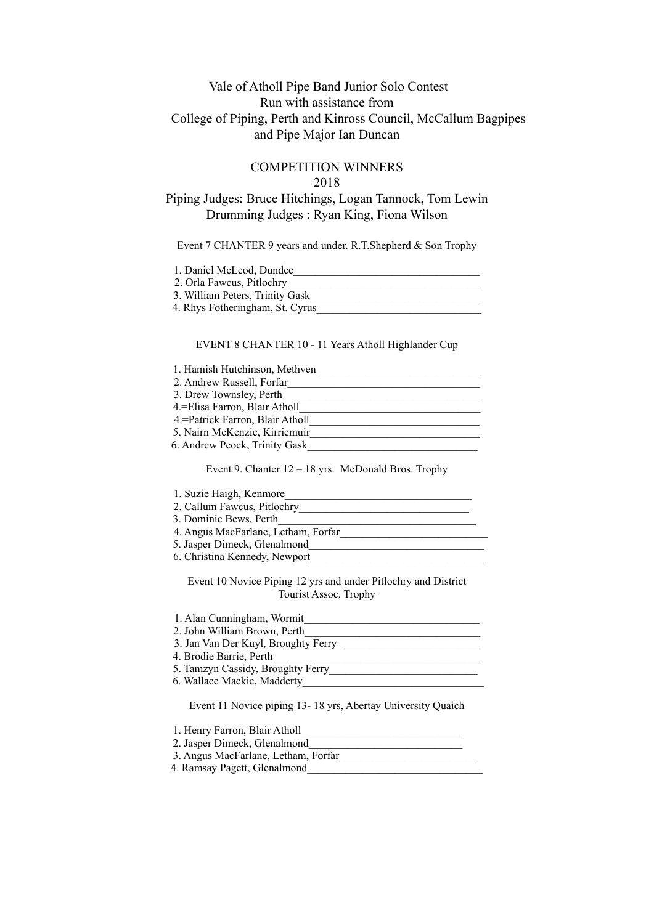## Vale of Atholl Pipe Band Junior Solo Contest Run with assistance from College of Piping, Perth and Kinross Council, McCallum Bagpipes and Pipe Major Ian Duncan

## COMPETITION WINNERS 2018

# Piping Judges: Bruce Hitchings, Logan Tannock, Tom Lewin Drumming Judges : Ryan King, Fiona Wilson

### Event 7 CHANTER 9 years and under. R.T.Shepherd & Son Trophy

| 1. Daniel McLeod, Dundee        |  |
|---------------------------------|--|
| 2. Orla Fawcus, Pitlochry       |  |
| 3. William Peters, Trinity Gask |  |
| 4. Rhys Fotheringham, St. Cyrus |  |

### EVENT 8 CHANTER 10 - 11 Years Atholl Highlander Cup

| 1. Hamish Hutchinson, Methven     |
|-----------------------------------|
| 2. Andrew Russell, Forfar         |
| 3. Drew Townsley, Perth           |
| 4. Elisa Farron, Blair Atholl     |
| 4. = Patrick Farron, Blair Atholl |
| 5. Nairn McKenzie, Kirriemuir     |
| 6. Andrew Peock, Trinity Gask     |

#### Event 9. Chanter 12 – 18 yrs. McDonald Bros. Trophy

| 1. Suzie Haigh, Kenmore             |
|-------------------------------------|
| 2. Callum Fawcus, Pitlochry         |
| 3. Dominic Bews, Perth              |
| 4. Angus MacFarlane, Letham, Forfar |
| 5. Jasper Dimeck, Glenalmond        |
| 6. Christina Kennedy, Newport       |
|                                     |

Event 10 Novice Piping 12 yrs and under Pitlochry and District Tourist Assoc. Trophy

| 1. Alan Cunningham, Wormit                                  |
|-------------------------------------------------------------|
| 2. John William Brown, Perth                                |
| 3. Jan Van Der Kuyl, Broughty Ferry                         |
| 4. Brodie Barrie, Perth                                     |
| 5. Tamzyn Cassidy, Broughty Ferry                           |
| 6. Wallace Mackie, Madderty                                 |
| Event 11 Novice piping 13-18 yrs, Abertay University Quaich |
| 1. Henry Farron, Blair Atholl                               |
| 2. Jasper Dimeck, Glenalmond                                |

 3. Angus MacFarlane, Letham, Forfar\_\_\_\_\_\_\_\_\_\_\_\_\_\_\_\_\_\_\_\_\_\_\_\_\_ 4. Ramsay Pagett, Glenalmond\_\_\_\_\_\_\_\_\_\_\_\_\_\_\_\_\_\_\_\_\_\_\_\_\_\_\_\_\_\_\_\_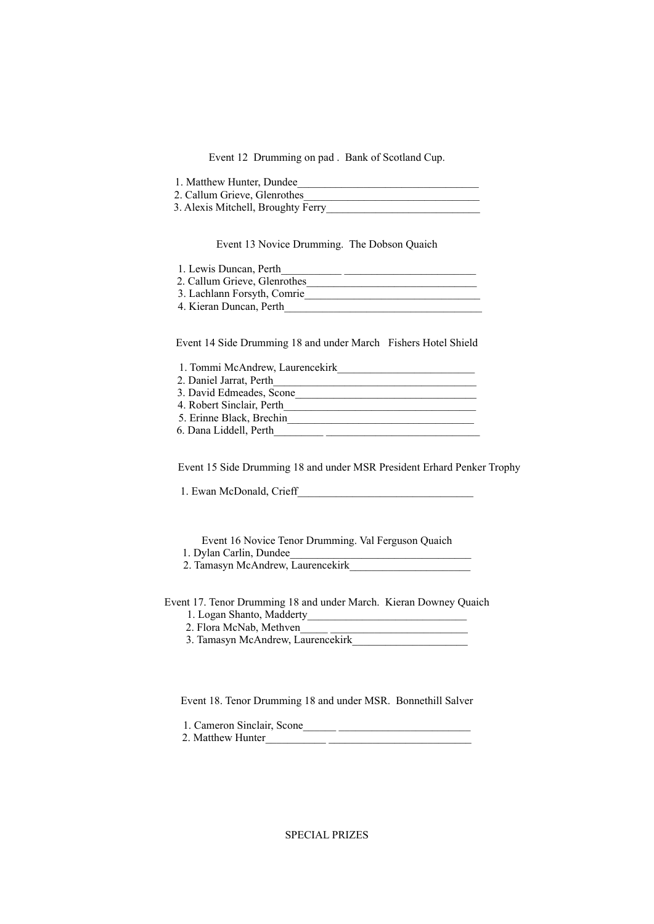Event 12 Drumming on pad . Bank of Scotland Cup.

| 1. Matthew Hunter, Dundee          |  |
|------------------------------------|--|
| 2. Callum Grieve, Glenrothes       |  |
| 3. Alexis Mitchell, Broughty Ferry |  |

Event 13 Novice Drumming. The Dobson Quaich

1. Lewis Duncan, Perth\_\_\_\_\_\_\_\_\_\_\_ \_\_\_\_\_\_\_\_\_\_\_\_\_\_\_\_\_\_\_\_\_\_\_\_

2. Callum Grieve, Glenrothes

3. Lachlann Forsyth, Comrie\_\_\_\_\_\_\_\_\_\_\_\_\_\_\_\_\_\_\_\_\_\_\_\_\_\_\_\_\_\_\_\_

4. Kieran Duncan, Perth\_\_\_\_\_\_\_\_\_\_\_\_\_\_\_\_\_\_\_\_\_\_\_\_\_\_\_\_\_\_\_\_\_\_\_\_

Event 14 Side Drumming 18 and under March Fishers Hotel Shield

| 1. Tommi McAndrew, Laurencekirk |  |
|---------------------------------|--|
| 2. Daniel Jarrat, Perth         |  |
| 3. David Edmeades, Scone        |  |
| 4. Robert Sinclair, Perth       |  |
| 5. Erinne Black, Brechin        |  |
| 6. Dana Liddell, Perth          |  |

Event 15 Side Drumming 18 and under MSR President Erhard Penker Trophy

1. Ewan McDonald, Crieff

Event 16 Novice Tenor Drumming. Val Ferguson Quaich 1. Dylan Carlin, Dundee\_\_\_\_\_\_\_\_\_\_\_\_\_\_\_\_\_\_\_\_\_\_\_\_\_\_\_\_\_\_\_\_\_

2. Tamasyn McAndrew, Laurencekirk\_

Event 17. Tenor Drumming 18 and under March. Kieran Downey Quaich 1. Logan Shanto, Madderty\_\_\_\_\_\_\_\_\_\_\_\_\_\_\_\_\_\_\_\_\_\_\_\_\_\_\_\_\_

- 
- 2. Flora McNab, Methven\_\_\_\_\_ \_\_\_\_\_\_\_\_\_\_\_\_\_\_\_\_\_\_\_\_\_\_\_\_\_
- 3. Tamasyn McAndrew, Laurencekirk\_

Event 18. Tenor Drumming 18 and under MSR. Bonnethill Salver

1. Cameron Sinclair, Scone\_\_\_\_\_\_ \_\_\_\_\_\_\_\_\_\_\_\_\_\_\_\_\_\_\_\_\_\_\_\_

2. Matthew Hunter\_\_\_\_\_\_\_\_\_\_\_ \_\_\_\_\_\_\_\_\_\_\_\_\_\_\_\_\_\_\_\_\_\_\_\_\_\_

SPECIAL PRIZES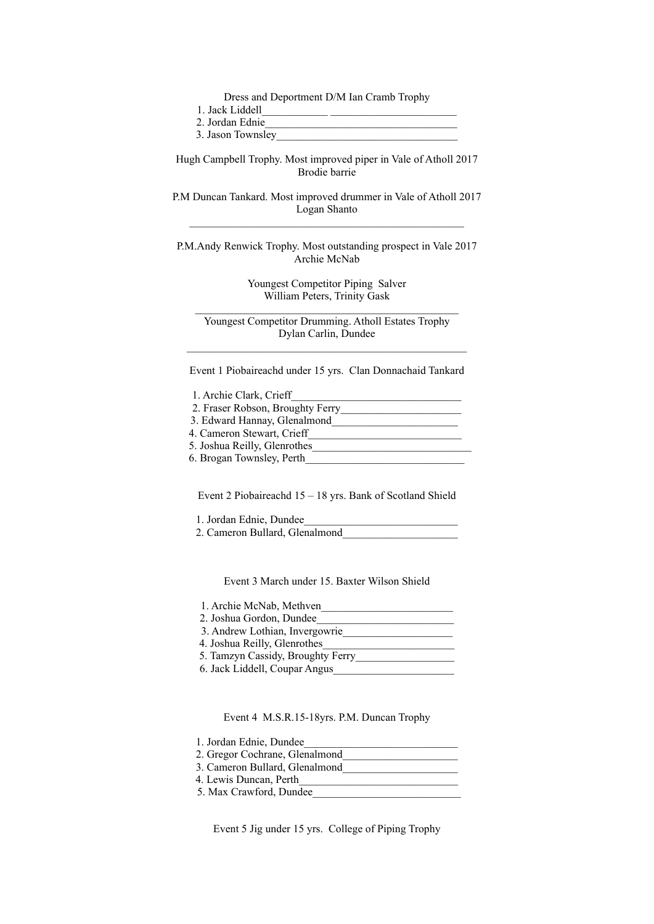Dress and Deportment D/M Ian Cramb Trophy

| 1. Jack Liddell |
|-----------------|
|-----------------|

2. Jordan Ednie\_\_\_\_\_\_\_\_\_\_\_\_\_\_\_\_\_\_\_\_\_\_\_\_\_\_\_\_\_\_\_\_\_\_\_

3. Jason Townsley

Hugh Campbell Trophy. Most improved piper in Vale of Atholl 2017 Brodie barrie

P.M Duncan Tankard. Most improved drummer in Vale of Atholl 2017 Logan Shanto  $\mathcal{L}_\text{max}$  and  $\mathcal{L}_\text{max}$  and  $\mathcal{L}_\text{max}$  and  $\mathcal{L}_\text{max}$  and  $\mathcal{L}_\text{max}$ 

P.M.Andy Renwick Trophy. Most outstanding prospect in Vale 2017 Archie McNab

> Youngest Competitor Piping Salver William Peters, Trinity Gask

Youngest Competitor Drumming. Atholl Estates Trophy Dylan Carlin, Dundee  $\mathcal{L}_\text{max}$  and  $\mathcal{L}_\text{max}$  and  $\mathcal{L}_\text{max}$  and  $\mathcal{L}_\text{max}$  and  $\mathcal{L}_\text{max}$ 

Event 1 Piobaireachd under 15 yrs. Clan Donnachaid Tankard

| 1. Archie Clark, Crieff          |  |
|----------------------------------|--|
| 2. Fraser Robson, Broughty Ferry |  |

- 
- 3. Edward Hannay, Glenalmond\_\_\_\_\_\_\_\_\_\_\_\_\_\_\_\_\_\_\_\_\_\_\_
- 4. Cameron Stewart, Crieff\_\_\_\_\_\_\_\_\_\_\_\_\_\_\_\_\_\_\_\_\_\_\_\_\_\_\_\_
- 5. Joshua Reilly, Glenrothes 6. Brogan Townsley, Perth

Event 2 Piobaireachd 15 – 18 yrs. Bank of Scotland Shield

1. Jordan Ednie, Dundee

2. Cameron Bullard, Glenalmond\_\_\_\_\_\_\_\_\_\_\_\_\_\_\_\_\_\_\_\_\_

Event 3 March under 15. Baxter Wilson Shield

| 1. Archie McNab, Methven          |
|-----------------------------------|
| 2. Joshua Gordon, Dundee          |
| 3. Andrew Lothian, Invergowrie    |
| 4. Joshua Reilly, Glenrothes      |
| 5. Tamzyn Cassidy, Broughty Ferry |
| 6. Jack Liddell, Coupar Angus     |

Event 4 M.S.R.15-18yrs. P.M. Duncan Trophy

| 1. Jordan Ednie, Dundee |
|-------------------------|
|-------------------------|

- 2. Gregor Cochrane, Glenalmond\_\_\_\_\_\_\_\_\_\_\_\_\_\_\_\_\_\_\_\_\_
- 3. Cameron Bullard, Glenalmond\_\_\_\_\_\_\_\_\_\_\_\_\_\_\_\_\_\_\_\_\_
- 4. Lewis Duncan, Perth\_\_\_\_\_\_\_\_\_\_\_\_\_\_\_\_\_\_\_\_\_\_\_\_\_\_\_\_\_
- 5. Max Crawford, Dundee

Event 5 Jig under 15 yrs. College of Piping Trophy